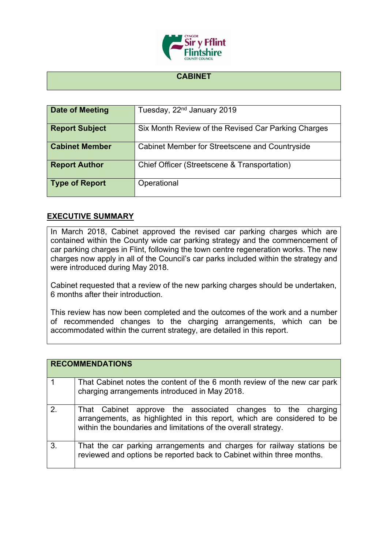

## **CABINET**

| Date of Meeting       | Tuesday, 22 <sup>nd</sup> January 2019              |
|-----------------------|-----------------------------------------------------|
| <b>Report Subject</b> | Six Month Review of the Revised Car Parking Charges |
| <b>Cabinet Member</b> | Cabinet Member for Streetscene and Countryside      |
| <b>Report Author</b>  | Chief Officer (Streetscene & Transportation)        |
| <b>Type of Report</b> | Operational                                         |

## **EXECUTIVE SUMMARY**

In March 2018, Cabinet approved the revised car parking charges which are contained within the County wide car parking strategy and the commencement of car parking charges in Flint, following the town centre regeneration works. The new charges now apply in all of the Council's car parks included within the strategy and were introduced during May 2018.

Cabinet requested that a review of the new parking charges should be undertaken, 6 months after their introduction.

This review has now been completed and the outcomes of the work and a number of recommended changes to the charging arrangements, which can be accommodated within the current strategy, are detailed in this report.

|               | <b>RECOMMENDATIONS</b>                                                                                                                                                                                   |
|---------------|----------------------------------------------------------------------------------------------------------------------------------------------------------------------------------------------------------|
|               | That Cabinet notes the content of the 6 month review of the new car park<br>charging arrangements introduced in May 2018.                                                                                |
| $\mathcal{P}$ | That Cabinet approve the associated changes to the charging<br>arrangements, as highlighted in this report, which are considered to be<br>within the boundaries and limitations of the overall strategy. |
| 3.            | That the car parking arrangements and charges for railway stations be<br>reviewed and options be reported back to Cabinet within three months.                                                           |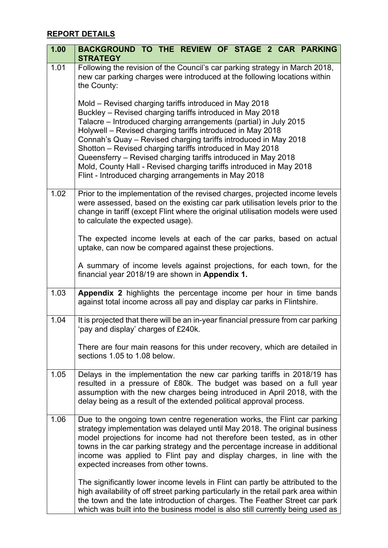## **REPORT DETAILS**

| 1.00 | BACKGROUND TO THE REVIEW OF STAGE 2 CAR PARKING<br><b>STRATEGY</b>                                                                                                                                                                                                                                                                                                                                                                                                                                                                                                                     |
|------|----------------------------------------------------------------------------------------------------------------------------------------------------------------------------------------------------------------------------------------------------------------------------------------------------------------------------------------------------------------------------------------------------------------------------------------------------------------------------------------------------------------------------------------------------------------------------------------|
| 1.01 | Following the revision of the Council's car parking strategy in March 2018,<br>new car parking charges were introduced at the following locations within<br>the County:                                                                                                                                                                                                                                                                                                                                                                                                                |
|      | Mold – Revised charging tariffs introduced in May 2018<br>Buckley - Revised charging tariffs introduced in May 2018<br>Talacre – Introduced charging arrangements (partial) in July 2015<br>Holywell - Revised charging tariffs introduced in May 2018<br>Connah's Quay - Revised charging tariffs introduced in May 2018<br>Shotton - Revised charging tariffs introduced in May 2018<br>Queensferry - Revised charging tariffs introduced in May 2018<br>Mold, County Hall - Revised charging tariffs introduced in May 2018<br>Flint - Introduced charging arrangements in May 2018 |
| 1.02 | Prior to the implementation of the revised charges, projected income levels<br>were assessed, based on the existing car park utilisation levels prior to the<br>change in tariff (except Flint where the original utilisation models were used<br>to calculate the expected usage).                                                                                                                                                                                                                                                                                                    |
|      | The expected income levels at each of the car parks, based on actual<br>uptake, can now be compared against these projections.                                                                                                                                                                                                                                                                                                                                                                                                                                                         |
|      | A summary of income levels against projections, for each town, for the<br>financial year 2018/19 are shown in Appendix 1.                                                                                                                                                                                                                                                                                                                                                                                                                                                              |
| 1.03 | Appendix 2 highlights the percentage income per hour in time bands<br>against total income across all pay and display car parks in Flintshire.                                                                                                                                                                                                                                                                                                                                                                                                                                         |
| 1.04 | It is projected that there will be an in-year financial pressure from car parking<br>'pay and display' charges of £240k.                                                                                                                                                                                                                                                                                                                                                                                                                                                               |
|      | There are four main reasons for this under recovery, which are detailed in<br>sections 1.05 to 1.08 below.                                                                                                                                                                                                                                                                                                                                                                                                                                                                             |
| 1.05 | Delays in the implementation the new car parking tariffs in 2018/19 has<br>resulted in a pressure of £80k. The budget was based on a full year<br>assumption with the new charges being introduced in April 2018, with the<br>delay being as a result of the extended political approval process.                                                                                                                                                                                                                                                                                      |
| 1.06 | Due to the ongoing town centre regeneration works, the Flint car parking<br>strategy implementation was delayed until May 2018. The original business<br>model projections for income had not therefore been tested, as in other<br>towns in the car parking strategy and the percentage increase in additional<br>income was applied to Flint pay and display charges, in line with the<br>expected increases from other towns.                                                                                                                                                       |
|      | The significantly lower income levels in Flint can partly be attributed to the<br>high availability of off street parking particularly in the retail park area within<br>the town and the late introduction of charges. The Feather Street car park<br>which was built into the business model is also still currently being used as                                                                                                                                                                                                                                                   |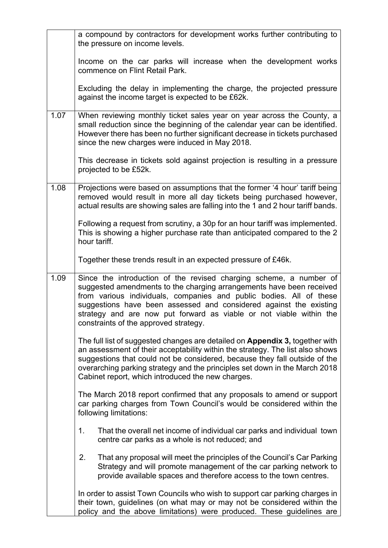|      | a compound by contractors for development works further contributing to<br>the pressure on income levels.                                                                                                                                                                                                                                                                                               |
|------|---------------------------------------------------------------------------------------------------------------------------------------------------------------------------------------------------------------------------------------------------------------------------------------------------------------------------------------------------------------------------------------------------------|
|      | Income on the car parks will increase when the development works<br>commence on Flint Retail Park.                                                                                                                                                                                                                                                                                                      |
|      | Excluding the delay in implementing the charge, the projected pressure<br>against the income target is expected to be £62k.                                                                                                                                                                                                                                                                             |
| 1.07 | When reviewing monthly ticket sales year on year across the County, a<br>small reduction since the beginning of the calendar year can be identified.<br>However there has been no further significant decrease in tickets purchased<br>since the new charges were induced in May 2018.                                                                                                                  |
|      | This decrease in tickets sold against projection is resulting in a pressure<br>projected to be £52k.                                                                                                                                                                                                                                                                                                    |
| 1.08 | Projections were based on assumptions that the former '4 hour' tariff being<br>removed would result in more all day tickets being purchased however,<br>actual results are showing sales are falling into the 1 and 2 hour tariff bands.                                                                                                                                                                |
|      | Following a request from scrutiny, a 30p for an hour tariff was implemented.<br>This is showing a higher purchase rate than anticipated compared to the 2<br>hour tariff.                                                                                                                                                                                                                               |
|      | Together these trends result in an expected pressure of £46k.                                                                                                                                                                                                                                                                                                                                           |
| 1.09 | Since the introduction of the revised charging scheme, a number of<br>suggested amendments to the charging arrangements have been received<br>from various individuals, companies and public bodies. All of these<br>suggestions have been assessed and considered against the existing<br>strategy and are now put forward as viable or not viable within the<br>constraints of the approved strategy. |
|      | The full list of suggested changes are detailed on <b>Appendix 3</b> , together with<br>an assessment of their acceptability within the strategy. The list also shows<br>suggestions that could not be considered, because they fall outside of the<br>overarching parking strategy and the principles set down in the March 2018<br>Cabinet report, which introduced the new charges.                  |
|      | The March 2018 report confirmed that any proposals to amend or support<br>car parking charges from Town Council's would be considered within the<br>following limitations:                                                                                                                                                                                                                              |
|      | 1.<br>That the overall net income of individual car parks and individual town<br>centre car parks as a whole is not reduced; and                                                                                                                                                                                                                                                                        |
|      | That any proposal will meet the principles of the Council's Car Parking<br>2.<br>Strategy and will promote management of the car parking network to<br>provide available spaces and therefore access to the town centres.                                                                                                                                                                               |
|      | In order to assist Town Councils who wish to support car parking charges in<br>their town, guidelines (on what may or may not be considered within the<br>policy and the above limitations) were produced. These guidelines are                                                                                                                                                                         |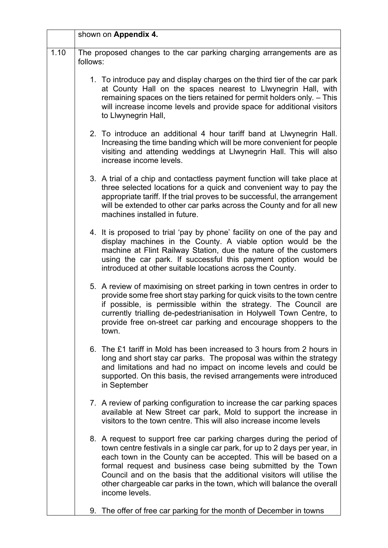|      | shown on Appendix 4.                                                                                                                                                                                                                                                                                                                                                                                                                                         |
|------|--------------------------------------------------------------------------------------------------------------------------------------------------------------------------------------------------------------------------------------------------------------------------------------------------------------------------------------------------------------------------------------------------------------------------------------------------------------|
| 1.10 | The proposed changes to the car parking charging arrangements are as<br>follows:                                                                                                                                                                                                                                                                                                                                                                             |
|      | 1. To introduce pay and display charges on the third tier of the car park<br>at County Hall on the spaces nearest to Llwynegrin Hall, with<br>remaining spaces on the tiers retained for permit holders only. - This<br>will increase income levels and provide space for additional visitors<br>to Llwynegrin Hall,                                                                                                                                         |
|      | 2. To introduce an additional 4 hour tariff band at Llwynegrin Hall.<br>Increasing the time banding which will be more convenient for people<br>visiting and attending weddings at Llwynegrin Hall. This will also<br>increase income levels.                                                                                                                                                                                                                |
|      | 3. A trial of a chip and contactless payment function will take place at<br>three selected locations for a quick and convenient way to pay the<br>appropriate tariff. If the trial proves to be successful, the arrangement<br>will be extended to other car parks across the County and for all new<br>machines installed in future.                                                                                                                        |
|      | 4. It is proposed to trial 'pay by phone' facility on one of the pay and<br>display machines in the County. A viable option would be the<br>machine at Flint Railway Station, due the nature of the customers<br>using the car park. If successful this payment option would be<br>introduced at other suitable locations across the County.                                                                                                                 |
|      | 5. A review of maximising on street parking in town centres in order to<br>provide some free short stay parking for quick visits to the town centre<br>if possible, is permissible within the strategy. The Council are<br>currently trialling de-pedestrianisation in Holywell Town Centre, to<br>provide free on-street car parking and encourage shoppers to the<br>town.                                                                                 |
|      | 6. The £1 tariff in Mold has been increased to 3 hours from 2 hours in<br>long and short stay car parks. The proposal was within the strategy<br>and limitations and had no impact on income levels and could be<br>supported. On this basis, the revised arrangements were introduced<br>in September                                                                                                                                                       |
|      | 7. A review of parking configuration to increase the car parking spaces<br>available at New Street car park, Mold to support the increase in<br>visitors to the town centre. This will also increase income levels                                                                                                                                                                                                                                           |
|      | 8. A request to support free car parking charges during the period of<br>town centre festivals in a single car park, for up to 2 days per year, in<br>each town in the County can be accepted. This will be based on a<br>formal request and business case being submitted by the Town<br>Council and on the basis that the additional visitors will utilise the<br>other chargeable car parks in the town, which will balance the overall<br>income levels. |
|      | 9. The offer of free car parking for the month of December in towns                                                                                                                                                                                                                                                                                                                                                                                          |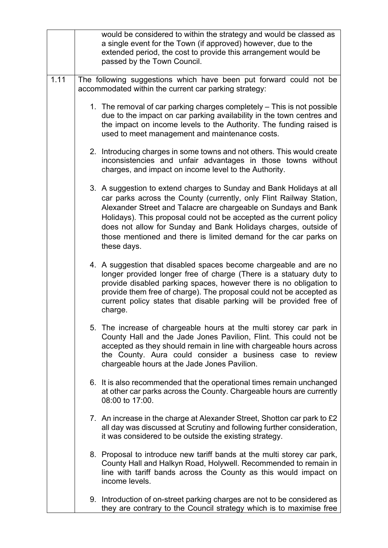|      | would be considered to within the strategy and would be classed as<br>a single event for the Town (if approved) however, due to the<br>extended period, the cost to provide this arrangement would be<br>passed by the Town Council.                                                                                                                                                                                                         |
|------|----------------------------------------------------------------------------------------------------------------------------------------------------------------------------------------------------------------------------------------------------------------------------------------------------------------------------------------------------------------------------------------------------------------------------------------------|
| 1.11 | The following suggestions which have been put forward could not be<br>accommodated within the current car parking strategy:                                                                                                                                                                                                                                                                                                                  |
|      | 1. The removal of car parking charges completely – This is not possible<br>due to the impact on car parking availability in the town centres and<br>the impact on income levels to the Authority. The funding raised is<br>used to meet management and maintenance costs.                                                                                                                                                                    |
|      | 2. Introducing charges in some towns and not others. This would create<br>inconsistencies and unfair advantages in those towns without<br>charges, and impact on income level to the Authority.                                                                                                                                                                                                                                              |
|      | 3. A suggestion to extend charges to Sunday and Bank Holidays at all<br>car parks across the County (currently, only Flint Railway Station,<br>Alexander Street and Talacre are chargeable on Sundays and Bank<br>Holidays). This proposal could not be accepted as the current policy<br>does not allow for Sunday and Bank Holidays charges, outside of<br>those mentioned and there is limited demand for the car parks on<br>these days. |
|      | 4. A suggestion that disabled spaces become chargeable and are no<br>longer provided longer free of charge (There is a statuary duty to<br>provide disabled parking spaces, however there is no obligation to<br>provide them free of charge). The proposal could not be accepted as<br>current policy states that disable parking will be provided free of<br>charge.                                                                       |
|      | 5. The increase of chargeable hours at the multi storey car park in<br>County Hall and the Jade Jones Pavilion, Flint. This could not be<br>accepted as they should remain in line with chargeable hours across<br>the County. Aura could consider a business case to review<br>chargeable hours at the Jade Jones Pavilion.                                                                                                                 |
|      | 6. It is also recommended that the operational times remain unchanged<br>at other car parks across the County. Chargeable hours are currently<br>08:00 to 17:00.                                                                                                                                                                                                                                                                             |
|      | 7. An increase in the charge at Alexander Street, Shotton car park to £2<br>all day was discussed at Scrutiny and following further consideration,<br>it was considered to be outside the existing strategy.                                                                                                                                                                                                                                 |
|      | 8. Proposal to introduce new tariff bands at the multi storey car park,<br>County Hall and Halkyn Road, Holywell. Recommended to remain in<br>line with tariff bands across the County as this would impact on<br>income levels.                                                                                                                                                                                                             |
|      | 9. Introduction of on-street parking charges are not to be considered as<br>they are contrary to the Council strategy which is to maximise free                                                                                                                                                                                                                                                                                              |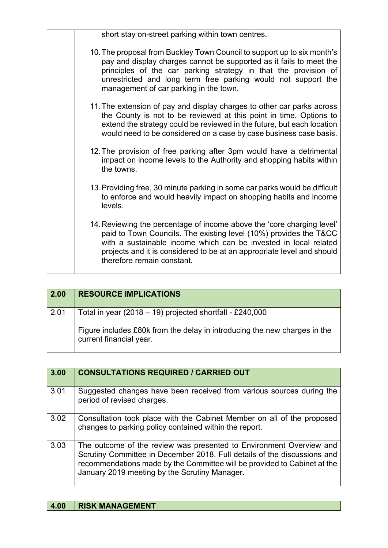| short stay on-street parking within town centres.                                                                                                                                                                                                                                                                            |
|------------------------------------------------------------------------------------------------------------------------------------------------------------------------------------------------------------------------------------------------------------------------------------------------------------------------------|
| 10. The proposal from Buckley Town Council to support up to six month's<br>pay and display charges cannot be supported as it fails to meet the<br>principles of the car parking strategy in that the provision of<br>unrestricted and long term free parking would not support the<br>management of car parking in the town. |
| 11. The extension of pay and display charges to other car parks across<br>the County is not to be reviewed at this point in time. Options to<br>extend the strategy could be reviewed in the future, but each location<br>would need to be considered on a case by case business case basis.                                 |
| 12. The provision of free parking after 3pm would have a detrimental<br>impact on income levels to the Authority and shopping habits within<br>the towns.                                                                                                                                                                    |
| 13. Providing free, 30 minute parking in some car parks would be difficult<br>to enforce and would heavily impact on shopping habits and income<br>levels.                                                                                                                                                                   |
| 14. Reviewing the percentage of income above the 'core charging level'<br>paid to Town Councils. The existing level (10%) provides the T&CC<br>with a sustainable income which can be invested in local related<br>projects and it is considered to be at an appropriate level and should<br>therefore remain constant.      |

| 2.00 | <b>RESOURCE IMPLICATIONS</b>                                                                         |
|------|------------------------------------------------------------------------------------------------------|
| 2.01 | Total in year (2018 – 19) projected shortfall - £240,000                                             |
|      | Figure includes £80k from the delay in introducing the new charges in the<br>current financial year. |

| 3.00 | <b>CONSULTATIONS REQUIRED / CARRIED OUT</b>                                                                                                                                                                                                                                  |
|------|------------------------------------------------------------------------------------------------------------------------------------------------------------------------------------------------------------------------------------------------------------------------------|
| 3.01 | Suggested changes have been received from various sources during the<br>period of revised charges.                                                                                                                                                                           |
| 3.02 | Consultation took place with the Cabinet Member on all of the proposed<br>changes to parking policy contained within the report.                                                                                                                                             |
| 3.03 | The outcome of the review was presented to Environment Overview and<br>Scrutiny Committee in December 2018. Full details of the discussions and<br>recommendations made by the Committee will be provided to Cabinet at the<br>January 2019 meeting by the Scrutiny Manager. |

## **4.00 RISK MANAGEMENT**